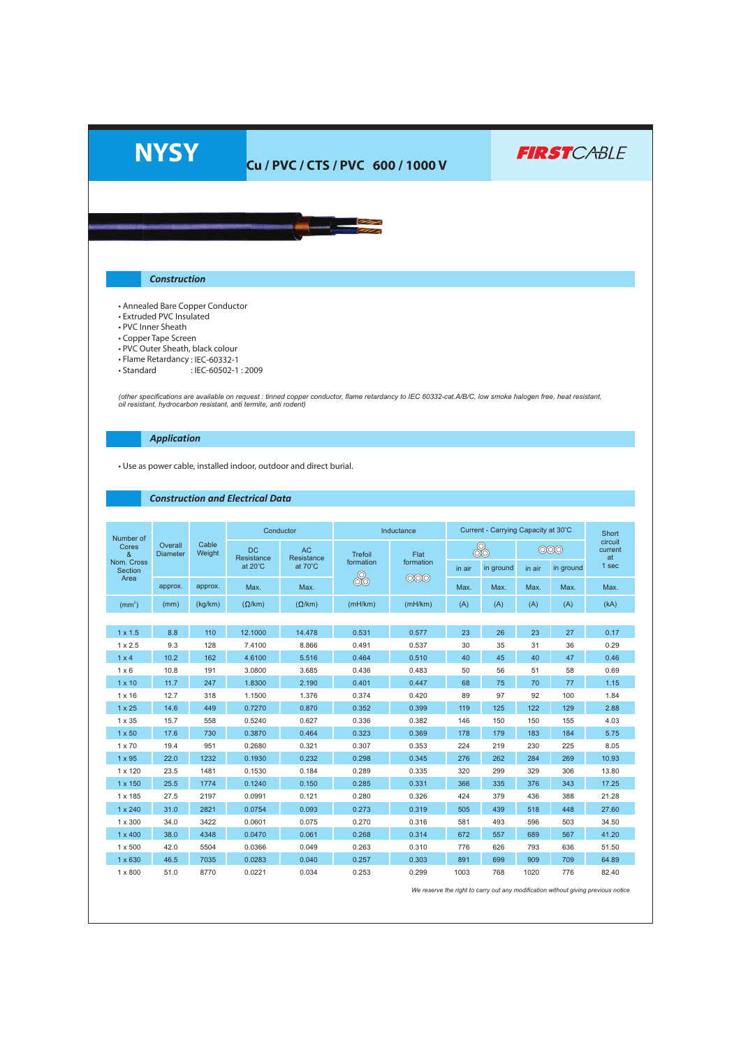

## **Cu / PVC / CTS / PVC 600 / 1000 V**

**FIRST**CABLE

## *Construction*

- Annealed Bare Copper Conductor
- Extruded PVC Insulated
- PVC Inner Sheath
- Copper Tape Screen
- PVC Outer Sheath, black colour
- Flame Retardancy : IEC-60332-1
- Standard : IEC-60502-1 : 2009

(other specifications are available on request : tinned copper conductor, flame retardancy to IEC 60332-cat.A/B/C, low smoke halogen free, heat resistant,<br>oil resistant, hydrocarbon resistant, anti termite, anti rodent)

*Application*

• Use as power cable, installed indoor, outdoor and direct burial.

## *Construction and Electrical Data*

| Number of<br>Cores<br>&<br>Nom. Cross<br>Section | Overall<br><b>Diameter</b> |                 |                                    | Conductor                   | Inductance                  |                          |        |           |        | Current - Carrying Capacity at 30°C<br><b>Short</b><br>circuit<br>000<br>current<br>at<br>1 sec<br>in ground<br>Max.<br>Max.<br>(A)<br>(kA)<br>27<br>0.17<br>36<br>0.29<br>47<br>0.46 |       |
|--------------------------------------------------|----------------------------|-----------------|------------------------------------|-----------------------------|-----------------------------|--------------------------|--------|-----------|--------|---------------------------------------------------------------------------------------------------------------------------------------------------------------------------------------|-------|
|                                                  |                            | Cable<br>Weight | <b>DC</b><br>Resistance<br>at 20°C | AC<br>Resistance<br>at 70°C | Trefoil<br>formation<br>රාම | Flat<br>formation<br>000 | 8      |           |        |                                                                                                                                                                                       |       |
|                                                  |                            |                 |                                    |                             |                             |                          | in air | in ground | in air |                                                                                                                                                                                       |       |
| Area                                             | approx.                    | approx.         | Max.                               | Max.                        |                             |                          | Max.   | Max.      | Max.   |                                                                                                                                                                                       |       |
| (mm <sup>2</sup> )                               | (mm)                       | (kg/km)         | $(\Omega/km)$                      | $(\Omega/km)$               | (mH/km)                     | (mH/km)                  | (A)    | (A)       | (A)    |                                                                                                                                                                                       |       |
|                                                  |                            |                 |                                    |                             |                             |                          |        |           |        |                                                                                                                                                                                       |       |
| $1 \times 1.5$                                   | 8.8                        | 110             | 12.1000                            | 14.478                      | 0.531                       | 0.577                    | 23     | 26        | 23     |                                                                                                                                                                                       |       |
| $1 \times 2.5$                                   | 9.3                        | 128             | 7.4100                             | 8.866                       | 0.491                       | 0.537                    | 30     | 35        | 31     |                                                                                                                                                                                       |       |
| $1 \times 4$                                     | 10.2                       | 162             | 4.6100                             | 5.516                       | 0.464                       | 0.510                    | 40     | 45        | 40     |                                                                                                                                                                                       |       |
| $1 \times 6$                                     | 10.8                       | 191             | 3.0800                             | 3.685                       | 0.436                       | 0.483                    | 50     | 56        | 51     | 58                                                                                                                                                                                    | 0.69  |
| $1 \times 10$                                    | 11.7                       | 247             | 1.8300                             | 2.190                       | 0.401                       | 0.447                    | 68     | 75        | 70     | 77                                                                                                                                                                                    | 1.15  |
| $1 \times 16$                                    | 12.7                       | 318             | 1.1500                             | 1.376                       | 0.374                       | 0.420                    | 89     | 97        | 92     | 100                                                                                                                                                                                   | 1.84  |
| $1 \times 25$                                    | 14.6                       | 449             | 0.7270                             | 0.870                       | 0.352                       | 0.399                    | 119    | 125       | 122    | 129                                                                                                                                                                                   | 2.88  |
| $1 \times 35$                                    | 15.7                       | 558             | 0.5240                             | 0.627                       | 0.336                       | 0.382                    | 146    | 150       | 150    | 155                                                                                                                                                                                   | 4.03  |
| $1 \times 50$                                    | 17.6                       | 730             | 0.3870                             | 0.464                       | 0.323                       | 0.369                    | 178    | 179       | 183    | 184                                                                                                                                                                                   | 5.75  |
| $1 \times 70$                                    | 19.4                       | 951             | 0.2680                             | 0.321                       | 0.307                       | 0.353                    | 224    | 219       | 230    | 225                                                                                                                                                                                   | 8.05  |
| $1 \times 95$                                    | 22.0                       | 1232            | 0.1930                             | 0.232                       | 0.298                       | 0.345                    | 276    | 262       | 284    | 269                                                                                                                                                                                   | 10.93 |
| 1 x 120                                          | 23.5                       | 1481            | 0.1530                             | 0.184                       | 0.289                       | 0.335                    | 320    | 299       | 329    | 306                                                                                                                                                                                   | 13.80 |
| 1 x 150                                          | 25.5                       | 1774            | 0.1240                             | 0.150                       | 0.285                       | 0.331                    | 366    | 335       | 376    | 343                                                                                                                                                                                   | 17.25 |
| 1 x 185                                          | 27.5                       | 2197            | 0.0991                             | 0.121                       | 0.280                       | 0.326                    | 424    | 379       | 436    | 388                                                                                                                                                                                   | 21.28 |
| 1 x 240                                          | 31.0                       | 2821            | 0.0754                             | 0.093                       | 0.273                       | 0.319                    | 505    | 439       | 518    | 448                                                                                                                                                                                   | 27.60 |
| 1 x 300                                          | 34.0                       | 3422            | 0.0601                             | 0.075                       | 0.270                       | 0.316                    | 581    | 493       | 596    | 503                                                                                                                                                                                   | 34.50 |
| $1 \times 400$                                   | 38.0                       | 4348            | 0.0470                             | 0.061                       | 0.268                       | 0.314                    | 672    | 557       | 689    | 567                                                                                                                                                                                   | 41.20 |
| 1 x 500                                          | 42.0                       | 5504            | 0.0366                             | 0.049                       | 0.263                       | 0.310                    | 776    | 626       | 793    | 636                                                                                                                                                                                   | 51.50 |
| 1 x 630                                          | 46.5                       | 7035            | 0.0283                             | 0.040                       | 0.257                       | 0.303                    | 891    | 699       | 909    | 709                                                                                                                                                                                   | 64.89 |
| 1 x 800                                          | 51.0                       | 8770            | 0.0221                             | 0.034                       | 0.253                       | 0.299                    | 1003   | 768       | 1020   | 776                                                                                                                                                                                   | 82.40 |

*We reserve the right to carry out any modification without giving previous notice*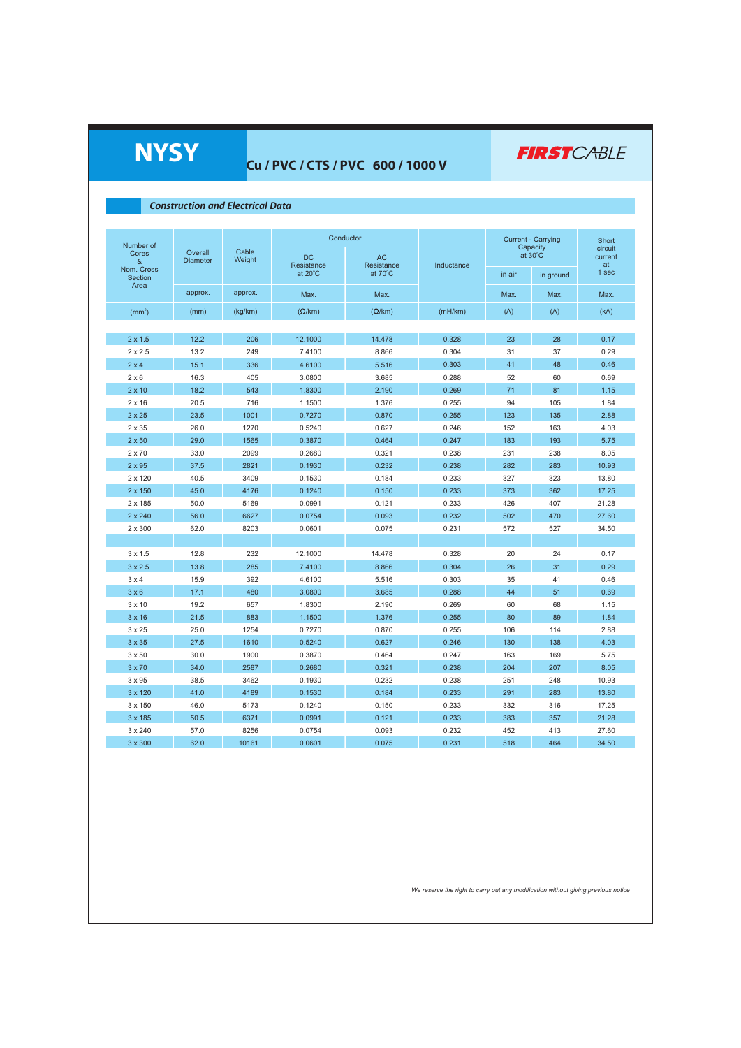| <b>NYSY</b>                             |                            |                 | Cu / PVC / CTS / PVC 600 / 1000 V |                   |                |                                       | <b>FIRST</b> CABLE |                  |  |  |
|-----------------------------------------|----------------------------|-----------------|-----------------------------------|-------------------|----------------|---------------------------------------|--------------------|------------------|--|--|
| <b>Construction and Electrical Data</b> |                            |                 |                                   |                   |                |                                       |                    |                  |  |  |
|                                         |                            |                 |                                   |                   |                |                                       |                    |                  |  |  |
|                                         |                            |                 |                                   |                   |                |                                       |                    |                  |  |  |
| Number of                               |                            | Cable<br>Weight | Conductor                         |                   |                | <b>Current - Carrying</b><br>Capacity |                    | Short<br>circuit |  |  |
| Cores<br>&                              | Overall<br><b>Diameter</b> |                 | DC<br>Resistance                  | AC<br>Resistance  | Inductance     | at 30°C                               |                    | current<br>at    |  |  |
| Nom. Cross<br>Section                   |                            |                 | at $20^{\circ}$ C                 | at $70^{\circ}$ C |                | in air                                | in ground          | 1 sec            |  |  |
| Area                                    | approx.                    | approx.         | Max.                              | Max.              |                | Max.                                  | Max.               | Max.             |  |  |
|                                         |                            |                 |                                   |                   |                |                                       |                    |                  |  |  |
| (mm <sup>2</sup> )                      | (mm)                       | (kg/km)         | $(\Omega/km)$                     | $(\Omega/km)$     | (mH/km)        | (A)                                   | (A)                | (kA)             |  |  |
|                                         |                            |                 |                                   |                   |                |                                       |                    |                  |  |  |
| $2 \times 1.5$                          | 12.2                       | 206             | 12.1000                           | 14.478            | 0.328          | 23                                    | 28                 | 0.17             |  |  |
| $2 \times 2.5$                          | 13.2                       | 249             | 7.4100                            | 8.866             | 0.304          | 31                                    | 37                 | 0.29             |  |  |
| $2 \times 4$                            | 15.1                       | 336             | 4.6100                            | 5.516             | 0.303          | 41                                    | 48                 | 0.46             |  |  |
| $2 \times 6$                            | 16.3                       | 405             | 3.0800                            | 3.685             | 0.288          | 52                                    | 60                 | 0.69             |  |  |
| $2 \times 10$                           | 18.2<br>20.5               | 543<br>716      | 1.8300<br>1.1500                  | 2.190<br>1.376    | 0.269<br>0.255 | 71<br>94                              | 81<br>105          | 1.15<br>1.84     |  |  |
| $2 \times 16$                           | 23.5                       | 1001            | 0.7270                            | 0.870             | 0.255          | 123                                   | 135                | 2.88             |  |  |
| $2 \times 25$<br>2 x 35                 | 26.0                       | 1270            | 0.5240                            | 0.627             | 0.246          | 152                                   | 163                | 4.03             |  |  |
| $2 \times 50$                           | 29.0                       | 1565            | 0.3870                            | 0.464             | 0.247          | 183                                   | 193                | 5.75             |  |  |
| $2 \times 70$                           | 33.0                       | 2099            | 0.2680                            | 0.321             | 0.238          | 231                                   | 238                | 8.05             |  |  |
| $2 \times 95$                           | 37.5                       | 2821            | 0.1930                            | 0.232             | 0.238          | 282                                   | 283                | 10.93            |  |  |
| $2 \times 120$                          | 40.5                       | 3409            | 0.1530                            | 0.184             | 0.233          | 327                                   | 323                | 13.80            |  |  |
| 2 x 150                                 | 45.0                       | 4176            | 0.1240                            | 0.150             | 0.233          | 373                                   | 362                | 17.25            |  |  |
| 2 x 185                                 | 50.0                       | 5169            | 0.0991                            | 0.121             | 0.233          | 426                                   | 407                | 21.28            |  |  |
| 2 x 240                                 | 56.0                       | 6627            | 0.0754                            | 0.093             | 0.232          | 502                                   | 470                | 27.60            |  |  |
| 2 x 300                                 | 62.0                       | 8203            | 0.0601                            | 0.075             | 0.231          | 572                                   | 527                | 34.50            |  |  |
|                                         |                            |                 |                                   |                   |                |                                       |                    |                  |  |  |
| $3 \times 1.5$                          | 12.8                       | 232             | 12.1000                           | 14.478            | 0.328          | 20                                    | 24                 | 0.17             |  |  |
| $3 \times 2.5$                          | 13.8                       | 285             | 7.4100                            | 8.866             | 0.304          | 26                                    | 31                 | 0.29             |  |  |
| $3 \times 4$                            | 15.9                       | 392             | 4.6100                            | 5.516             | 0.303          | 35                                    | 41                 | 0.46             |  |  |
| 3 × 6                                   | 17.1                       | 480             | 3.0800                            | 3.685             | 0.288          | 44                                    | 51                 | 0.69             |  |  |
| $3 \times 10$                           | 19.2                       | 657             | 1.8300                            | 2.190             | 0.269          | 60                                    | 68                 | 1.15             |  |  |
| $3 \times 16$                           | 21.5                       | 883             | 1.1500                            | 1.376             | 0.255          | 80                                    | 89                 | 1.84             |  |  |
| $3 \times 25$                           | 25.0                       | 1254            | 0.7270                            | 0.870             | 0.255          | 106                                   | 114                | 2.88             |  |  |
| $3 \times 35$                           | 27.5                       | 1610            | 0.5240                            | 0.627             | 0.246          | 130                                   | 138                | 4.03             |  |  |
| $3 \times 50$                           | 30.0                       | 1900            | 0.3870                            | 0.464             | 0.247          | 163                                   | 169                | 5.75             |  |  |
| $3 \times 70$                           | 34.0                       | 2587            | 0.2680                            | 0.321             | 0.238          | 204                                   | 207                | 8.05             |  |  |
| $3 \times 95$                           | 38.5                       | 3462            | 0.1930                            | 0.232             | 0.238          | 251                                   | 248                | 10.93            |  |  |
| 3 x 120                                 | 41.0                       | 4189            | 0.1530                            | 0.184             | 0.233          | 291                                   | 283                | 13.80            |  |  |
| 3 x 150                                 | 46.0                       | 5173            | 0.1240                            | 0.150             | 0.233          | 332                                   | 316                | 17.25            |  |  |
| 3 x 185                                 | 50.5                       | 6371            | 0.0991                            | 0.121             | 0.233          | 383                                   | 357                | 21.28            |  |  |
| 3 x 240                                 | 57.0                       | 8256            | 0.0754                            | 0.093             | 0.232          | 452                                   | 413                | 27.60            |  |  |
| 3 x 300                                 | 62.0                       | 10161           | 0.0601                            | 0.075             | 0.231          | 518                                   | 464                | 34.50            |  |  |

## **Cu / PVC / CTS / PVC 600 / 1000 V**

*We reserve the right to carry out any modification without giving previous notice*